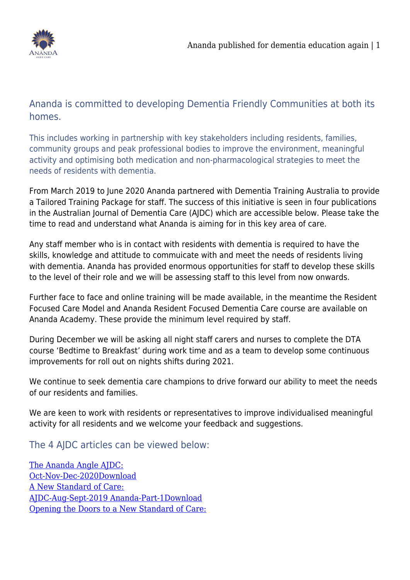

Ananda is committed to developing Dementia Friendly Communities at both its homes.

This includes working in partnership with key stakeholders including residents, families, community groups and peak professional bodies to improve the environment, meaningful activity and optimising both medication and non-pharmacological strategies to meet the needs of residents with dementia.

From March 2019 to June 2020 Ananda partnered with Dementia Training Australia to provide a Tailored Training Package for staff. The success of this initiative is seen in four publications in the Australian Journal of Dementia Care (AJDC) which are accessible below. Please take the time to read and understand what Ananda is aiming for in this key area of care.

Any staff member who is in contact with residents with dementia is required to have the skills, knowledge and attitude to commuicate with and meet the needs of residents living with dementia. Ananda has provided enormous opportunities for staff to develop these skills to the level of their role and we will be assessing staff to this level from now onwards.

Further face to face and online training will be made available, in the meantime the Resident Focused Care Model and Ananda Resident Focused Dementia Care course are available on Ananda Academy. These provide the minimum level required by staff.

During December we will be asking all night staff carers and nurses to complete the DTA course 'Bedtime to Breakfast' during work time and as a team to develop some continuous improvements for roll out on nights shifts during 2021.

We continue to seek dementia care champions to drive forward our ability to meet the needs of our residents and families.

We are keen to work with residents or representatives to improve individualised meaningful activity for all residents and we welcome your feedback and suggestions.

The 4 AJDC articles can be viewed below:

[The Ananda Angle AJDC:](https://www.anandaagedcare.com.au/wp-content/uploads/2020/11/AJDC-Oct-Nov-Dec-2020_The-Ananda-Angle.pdf) [Oct-Nov-Dec-2020Download](https://www.anandaagedcare.com.au/wp-content/uploads/2020/11/AJDC-Oct-Nov-Dec-2020_The-Ananda-Angle.pdf) [A New Standard of Care:](https://www.anandaagedcare.com.au/wp-content/uploads/2020/11/AJDC-Aug-Sept-2019_Ananda-Part-1.pdf) [AJDC-Aug-Sept-2019 Ananda-Part-1Download](https://www.anandaagedcare.com.au/wp-content/uploads/2020/11/AJDC-Aug-Sept-2019_Ananda-Part-1.pdf) [Opening the Doors to a New Standard of Care:](https://www.anandaagedcare.com.au/wp-content/uploads/2020/11/AJDC-Oct-Nov-2019_Ananda-Part-2.pdf)